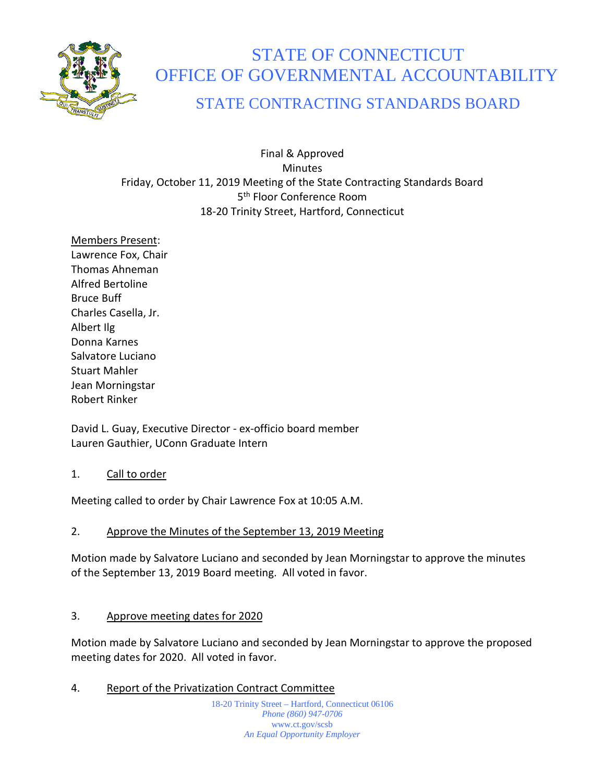

# STATE OF CONNECTICUT OFFICE OF GOVERNMENTAL ACCOUNTABILITY

# STATE CONTRACTING STANDARDS BOARD

Final & Approved **Minutes** Friday, October 11, 2019 Meeting of the State Contracting Standards Board 5<sup>th</sup> Floor Conference Room 18-20 Trinity Street, Hartford, Connecticut

Members Present: Lawrence Fox, Chair Thomas Ahneman Alfred Bertoline Bruce Buff Charles Casella, Jr. Albert Ilg Donna Karnes Salvatore Luciano Stuart Mahler Jean Morningstar Robert Rinker

David L. Guay, Executive Director - ex-officio board member Lauren Gauthier, UConn Graduate Intern

#### 1. Call to order

Meeting called to order by Chair Lawrence Fox at 10:05 A.M.

# 2. Approve the Minutes of the September 13, 2019 Meeting

Motion made by Salvatore Luciano and seconded by Jean Morningstar to approve the minutes of the September 13, 2019 Board meeting. All voted in favor.

# 3. Approve meeting dates for 2020

Motion made by Salvatore Luciano and seconded by Jean Morningstar to approve the proposed meeting dates for 2020. All voted in favor.

4. Report of the Privatization Contract Committee

18-20 Trinity Street – Hartford, Connecticut 06106 *Phone (860) 947-0706*  www.ct.gov/scsb *An Equal Opportunity Employer*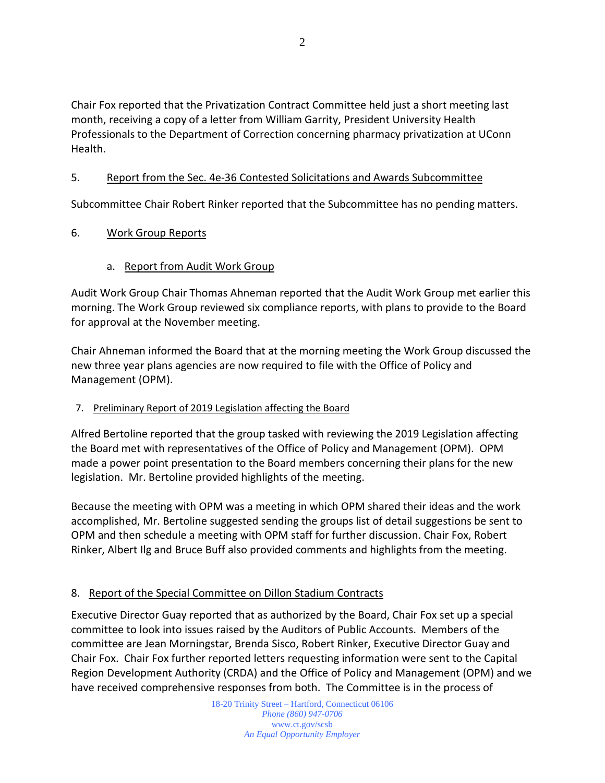Chair Fox reported that the Privatization Contract Committee held just a short meeting last month, receiving a copy of a letter from William Garrity, President University Health Professionals to the Department of Correction concerning pharmacy privatization at UConn Health.

#### 5. Report from the Sec. 4e-36 Contested Solicitations and Awards Subcommittee

Subcommittee Chair Robert Rinker reported that the Subcommittee has no pending matters.

#### 6. Work Group Reports

#### a. Report from Audit Work Group

Audit Work Group Chair Thomas Ahneman reported that the Audit Work Group met earlier this morning. The Work Group reviewed six compliance reports, with plans to provide to the Board for approval at the November meeting.

Chair Ahneman informed the Board that at the morning meeting the Work Group discussed the new three year plans agencies are now required to file with the Office of Policy and Management (OPM).

#### 7. Preliminary Report of 2019 Legislation affecting the Board

Alfred Bertoline reported that the group tasked with reviewing the 2019 Legislation affecting the Board met with representatives of the Office of Policy and Management (OPM). OPM made a power point presentation to the Board members concerning their plans for the new legislation. Mr. Bertoline provided highlights of the meeting.

Because the meeting with OPM was a meeting in which OPM shared their ideas and the work accomplished, Mr. Bertoline suggested sending the groups list of detail suggestions be sent to OPM and then schedule a meeting with OPM staff for further discussion. Chair Fox, Robert Rinker, Albert Ilg and Bruce Buff also provided comments and highlights from the meeting.

# 8. Report of the Special Committee on Dillon Stadium Contracts

Executive Director Guay reported that as authorized by the Board, Chair Fox set up a special committee to look into issues raised by the Auditors of Public Accounts. Members of the committee are Jean Morningstar, Brenda Sisco, Robert Rinker, Executive Director Guay and Chair Fox. Chair Fox further reported letters requesting information were sent to the Capital Region Development Authority (CRDA) and the Office of Policy and Management (OPM) and we have received comprehensive responses from both. The Committee is in the process of